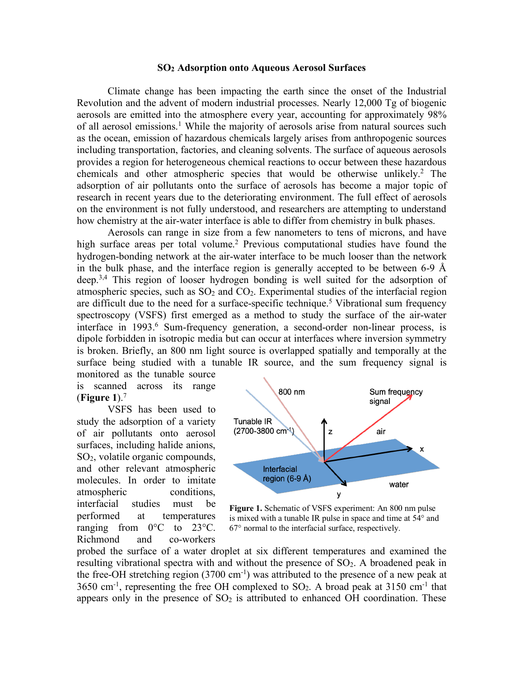## **SO2 Adsorption onto Aqueous Aerosol Surfaces**

Climate change has been impacting the earth since the onset of the Industrial Revolution and the advent of modern industrial processes. Nearly 12,000 Tg of biogenic aerosols are emitted into the atmosphere every year, accounting for approximately 98% of all aerosol emissions.<sup>1</sup> While the majority of aerosols arise from natural sources such as the ocean, emission of hazardous chemicals largely arises from anthropogenic sources including transportation, factories, and cleaning solvents. The surface of aqueous aerosols provides a region for heterogeneous chemical reactions to occur between these hazardous chemicals and other atmospheric species that would be otherwise unlikely.<sup>2</sup> The adsorption of air pollutants onto the surface of aerosols has become a major topic of research in recent years due to the deteriorating environment. The full effect of aerosols on the environment is not fully understood, and researchers are attempting to understand how chemistry at the air-water interface is able to differ from chemistry in bulk phases.

Aerosols can range in size from a few nanometers to tens of microns, and have high surface areas per total volume. <sup>2</sup> Previous computational studies have found the hydrogen-bonding network at the air-water interface to be much looser than the network in the bulk phase, and the interface region is generally accepted to be between 6-9 Å deep.<sup>3,4</sup> This region of looser hydrogen bonding is well suited for the adsorption of atmospheric species, such as  $SO<sub>2</sub>$  and  $CO<sub>2</sub>$ . Experimental studies of the interfacial region are difficult due to the need for a surface-specific technique.<sup>5</sup> Vibrational sum frequency spectroscopy (VSFS) first emerged as a method to study the surface of the air-water interface in 1993.<sup>6</sup> Sum-frequency generation, a second-order non-linear process, is dipole forbidden in isotropic media but can occur at interfaces where inversion symmetry is broken. Briefly, an 800 nm light source is overlapped spatially and temporally at the surface being studied with a tunable IR source, and the sum frequency signal is

monitored as the tunable source is scanned across its range (**Figure 1**).7

VSFS has been used to study the adsorption of a variety of air pollutants onto aerosol surfaces, including halide anions, SO2, volatile organic compounds, and other relevant atmospheric molecules. In order to imitate atmospheric conditions. interfacial studies must be performed at temperatures ranging from  $0^{\circ}$ C to  $23^{\circ}$ C. Richmond and co-workers



**Figure 1.** Schematic of VSFS experiment: An 800 nm pulse is mixed with a tunable IR pulse in space and time at 54° and 67° normal to the interfacial surface, respectively.

probed the surface of a water droplet at six different temperatures and examined the resulting vibrational spectra with and without the presence of  $SO<sub>2</sub>$ . A broadened peak in the free-OH stretching region  $(3700 \text{ cm}^{-1})$  was attributed to the presence of a new peak at  $3650$  cm<sup>-1</sup>, representing the free OH complexed to SO<sub>2</sub>. A broad peak at 3150 cm<sup>-1</sup> that appears only in the presence of  $SO<sub>2</sub>$  is attributed to enhanced OH coordination. These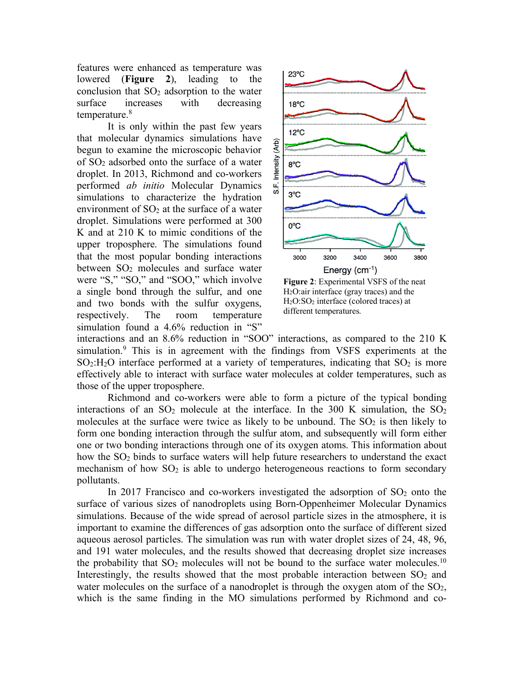features were enhanced as temperature was lowered (**Figure 2**), leading to the conclusion that  $SO<sub>2</sub>$  adsorption to the water surface increases with decreasing temperature.8

It is only within the past few years that molecular dynamics simulations have begun to examine the microscopic behavior of  $SO<sub>2</sub>$  adsorbed onto the surface of a water droplet. In 2013, Richmond and co-workers performed *ab initio* Molecular Dynamics simulations to characterize the hydration environment of  $SO<sub>2</sub>$  at the surface of a water droplet. Simulations were performed at 300 K and at 210 K to mimic conditions of the upper troposphere. The simulations found that the most popular bonding interactions between  $SO<sub>2</sub>$  molecules and surface water were "S," "SO," and "SOO," which involve a single bond through the sulfur, and one and two bonds with the sulfur oxygens, respectively. The room temperature simulation found a 4.6% reduction in "S"



H2O:air interface (gray traces) and the H2O:SO2 interface (colored traces) at different temperatures.

interactions and an 8.6% reduction in "SOO" interactions, as compared to the 210 K simulation.9 This is in agreement with the findings from VSFS experiments at the  $SO_2:H_2O$  interface performed at a variety of temperatures, indicating that  $SO_2$  is more effectively able to interact with surface water molecules at colder temperatures, such as those of the upper troposphere.

Richmond and co-workers were able to form a picture of the typical bonding interactions of an  $SO_2$  molecule at the interface. In the 300 K simulation, the  $SO_2$ molecules at the surface were twice as likely to be unbound. The  $SO<sub>2</sub>$  is then likely to form one bonding interaction through the sulfur atom, and subsequently will form either one or two bonding interactions through one of its oxygen atoms. This information about how the  $SO<sub>2</sub>$  binds to surface waters will help future researchers to understand the exact mechanism of how  $SO<sub>2</sub>$  is able to undergo heterogeneous reactions to form secondary pollutants.

In 2017 Francisco and co-workers investigated the adsorption of  $SO<sub>2</sub>$  onto the surface of various sizes of nanodroplets using Born-Oppenheimer Molecular Dynamics simulations. Because of the wide spread of aerosol particle sizes in the atmosphere, it is important to examine the differences of gas adsorption onto the surface of different sized aqueous aerosol particles. The simulation was run with water droplet sizes of 24, 48, 96, and 191 water molecules, and the results showed that decreasing droplet size increases the probability that  $SO_2$  molecules will not be bound to the surface water molecules.<sup>10</sup> Interestingly, the results showed that the most probable interaction between  $SO<sub>2</sub>$  and water molecules on the surface of a nanodroplet is through the oxygen atom of the  $SO<sub>2</sub>$ , which is the same finding in the MO simulations performed by Richmond and co